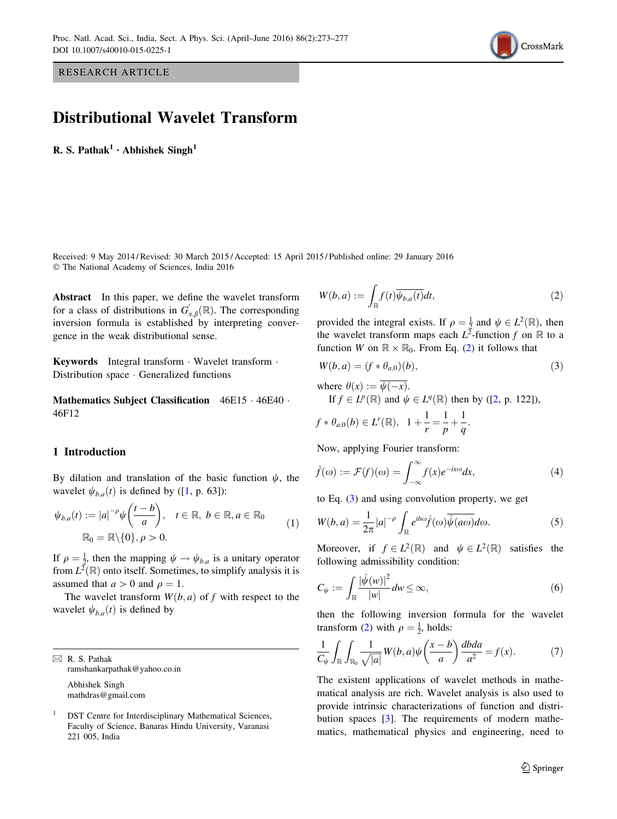<span id="page-0-0"></span>RESEARCH ARTICLE

# Distributional Wavelet Transform

R. S. Pathak<sup>1</sup> · Abhishek Singh<sup>1</sup>

Received: 9 May 2014 / Revised: 30 March 2015 / Accepted: 15 April 2015 / Published online: 29 January 2016 - The National Academy of Sciences, India 2016

Abstract In this paper, we define the wavelet transform for a class of distributions in  $G_{\alpha,\beta}^{'}(\mathbb{R})$ . The corresponding inversion formula is established by interpreting convergence in the weak distributional sense.

Keywords Integral transform - Wavelet transform - Distribution space - Generalized functions

Mathematics Subject Classification 46E15 · 46E40 · 46F12

#### 1 Introduction

By dilation and translation of the basic function  $\psi$ , the wavelet  $\psi_{b,a}(t)$  is defined by ([\[1](#page-4-0), p. 63]):

$$
\psi_{b,a}(t) := |a|^{-\rho} \psi\left(\frac{t-b}{a}\right), \quad t \in \mathbb{R}, \ b \in \mathbb{R}, a \in \mathbb{R}_0
$$
\n
$$
\mathbb{R}_0 = \mathbb{R} \setminus \{0\}, \rho > 0.
$$
\n(1)

If  $\rho = \frac{1}{2}$ , then the mapping  $\psi \rightarrow \psi_{b,a}$  is a unitary operator from  $L^2(\mathbb{R})$  onto itself. Sometimes, to simplify analysis it is assumed that  $a > 0$  and  $\rho = 1$ .

The wavelet transform  $W(b, a)$  of f with respect to the wavelet  $\psi_{b,a}(t)$  is defined by

 $\boxtimes$  R. S. Pathak ramshankarpathak@yahoo.co.in Abhishek Singh mathdras@gmail.com

<sup>1</sup> DST Centre for Interdisciplinary Mathematical Sciences, Faculty of Science, Banaras Hindu University, Varanasi 221 005, India

$$
W(b,a) := \int_{\mathbb{R}} f(t) \overline{\psi_{b,a}(t)} dt,
$$
\n(2)

provided the integral exists. If  $\rho = \frac{1}{2}$  and  $\psi \in L^2(\mathbb{R})$ , then the wavelet transform maps each  $L^2$ -function f on R to a function W on  $\mathbb{R} \times \mathbb{R}_0$ . From Eq. (2) it follows that

$$
W(b,a) = (f * \theta_{a,0})(b),
$$
\n(3)

where 
$$
\theta(x) := \overline{\psi(-x)}
$$
.  
\nIf  $f \in L^p(\mathbb{R})$  and  $\psi \in L^q(\mathbb{R})$  then by ([2, p. 122]),

$$
f * \theta_{a,0}(b) \in L^r(\mathbb{R}), \quad 1 + \frac{1}{r} = \frac{1}{p} + \frac{1}{q}.
$$

Now, applying Fourier transform:

$$
\hat{f}(\omega) := \mathcal{F}(f)(\omega) = \int_{-\infty}^{\infty} f(x)e^{-ix\omega}dx,
$$
\n(4)

to Eq. (3) and using convolution property, we get

$$
W(b,a) = \frac{1}{2\pi} |a|^{-\rho} \int_{\mathbb{R}} e^{ib\omega} \hat{f}(\omega) \overline{\hat{\psi}(a\omega)} d\omega.
$$
 (5)

Moreover, if  $f \in L^2(\mathbb{R})$  and  $\psi \in L^2(\mathbb{R})$  satisfies the following admissibility condition:

$$
C_{\psi} := \int_{\mathbb{R}} \frac{|\hat{\psi}(w)|^2}{|w|} dw \le \infty, \tag{6}
$$

then the following inversion formula for the wavelet transform (2) with  $\rho = \frac{1}{2}$ , holds:

$$
\frac{1}{C_{\psi}} \int_{\mathbb{R}} \int_{\mathbb{R}_0} \frac{1}{\sqrt{|a|}} W(b, a) \psi\left(\frac{x-b}{a}\right) \frac{dbda}{a^2} = f(x). \tag{7}
$$

The existent applications of wavelet methods in mathematical analysis are rich. Wavelet analysis is also used to provide intrinsic characterizations of function and distri-bution spaces [[3\]](#page-4-0). The requirements of modern mathematics, mathematical physics and engineering, need to

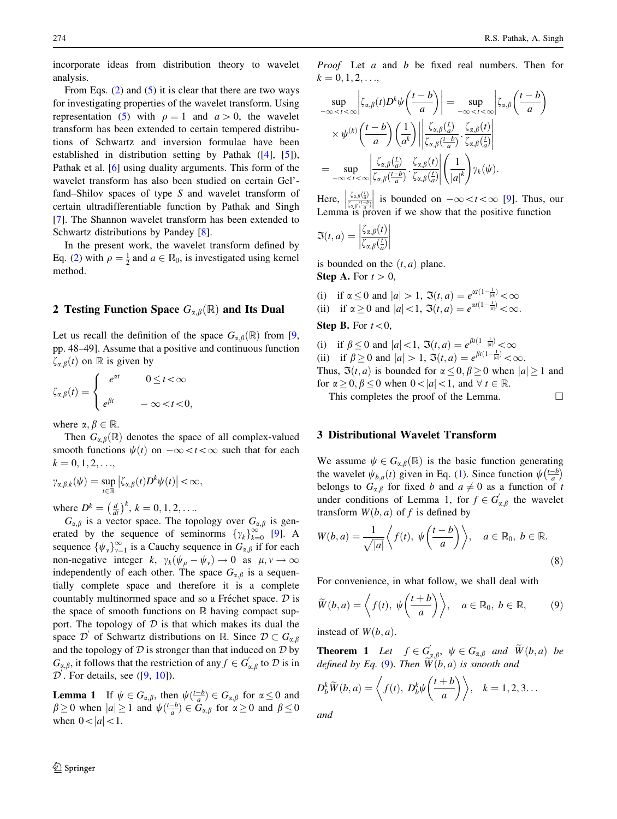<span id="page-1-0"></span>incorporate ideas from distribution theory to wavelet analysis.

From Eqs.  $(2)$  $(2)$  and  $(5)$  $(5)$  it is clear that there are two ways for investigating properties of the wavelet transform. Using representation [\(5](#page-0-0)) with  $\rho = 1$  and  $a > 0$ , the wavelet transform has been extended to certain tempered distributions of Schwartz and inversion formulae have been established in distribution setting by Pathak ([\[4\]](#page-4-0), [[5](#page-4-0)]), Pathak et al. [[6\]](#page-4-0) using duality arguments. This form of the wavelet transform has also been studied on certain Gel' fand–Shilov spaces of type S and wavelet transform of certain ultradifferentiable function by Pathak and Singh [\[7](#page-4-0)]. The Shannon wavelet transform has been extended to Schwartz distributions by Pandey [\[8](#page-4-0)].

In the present work, the wavelet transform defined by Eq. [\(2](#page-0-0)) with  $\rho = \frac{1}{2}$  and  $a \in \mathbb{R}_0$ , is investigated using kernel method.

### 2 Testing Function Space  $G_{\alpha,\beta}(\mathbb{R})$  and Its Dual

Let us recall the definition of the space  $G_{\alpha,\beta}(\mathbb{R})$  from [[9,](#page-4-0) pp. 48–49]. Assume that a positive and continuous function  $\zeta_{\alpha,\beta}(t)$  on R is given by

$$
\zeta_{\alpha,\beta}(t) = \begin{cases}\n e^{\alpha t} & 0 \leq t < \infty \\
 e^{\beta t} & -\infty < t < 0,\n\end{cases}
$$

where  $\alpha, \beta \in \mathbb{R}$ .

Then  $G_{\alpha,\beta}(\mathbb{R})$  denotes the space of all complex-valued smooth functions  $\psi(t)$  on  $-\infty < t < \infty$  such that for each  $k = 0, 1, 2, \ldots,$ 

$$
\gamma_{\alpha,\beta,k}(\psi)=\sup_{t\in\mathbb{R}}\left|\zeta_{\alpha,\beta}(t)D^k\psi(t)\right|<\infty,
$$

where  $D^k = \left(\frac{d}{dt}\right)^k$ ,  $k = 0, 1, 2, ...$ 

 $G_{\alpha,\beta}$  is a vector space. The topology over  $G_{\alpha,\beta}$  is generated by the sequence of seminorms  $\{\gamma_k\}_{k=0}^{\infty}$  [[9\]](#page-4-0). A sequence  $\{\psi_v\}_{v=1}^{\infty}$  is a Cauchy sequence in  $G_{\alpha,\beta}$  if for each non-negative integer k,  $\gamma_k(\psi_\mu - \psi_\nu) \to 0$  as  $\mu, \nu \to \infty$ independently of each other. The space  $G_{\alpha,\beta}$  is a sequentially complete space and therefore it is a complete countably multinormed space and so a Fréchet space.  $D$  is the space of smooth functions on  $\mathbb R$  having compact support. The topology of  $D$  is that which makes its dual the space  $\mathcal{D}'$  of Schwartz distributions on R. Since  $\mathcal{D} \subset G_{\alpha,\beta}$ and the topology of  $D$  is stronger than that induced on  $D$  by  $G_{\alpha,\beta}$ , it follows that the restriction of any  $f \in G_{\alpha,\beta}'$  to  $D$  is in  $\mathcal{D}'$ . For details, see ([[9,](#page-4-0) [10\]](#page-4-0)).

**Lemma 1** If  $\psi \in G_{\alpha,\beta}$ , then  $\psi\left(\frac{t-b}{a}\right) \in G_{\alpha,\beta}$  for  $\alpha \leq 0$  and  $\beta \ge 0$  when  $|a| \ge 1$  and  $\psi(\frac{t-b}{a}) \in \tilde{G}_{\alpha,\beta}$  for  $\alpha \ge 0$  and  $\beta \le 0$ when  $0 < |a| < 1$ .

Proof Let a and b be fixed real numbers. Then for  $k = 0, 1, 2, \ldots,$ 

$$
\sup_{-\infty < t < \infty} \left| \zeta_{\alpha,\beta}(t) D^k \psi \left( \frac{t-b}{a} \right) \right| = \sup_{-\infty < t < \infty} \left| \zeta_{\alpha,\beta} \left( \frac{t-b}{a} \right) \right|
$$
\n
$$
\times \psi^{(k)} \left( \frac{t-b}{a} \right) \left( \frac{1}{a^k} \right) \left| \frac{\zeta_{\alpha,\beta} \left( \frac{t}{a} \right)}{\zeta_{\alpha,\beta} \left( \frac{t-b}{a} \right)} \cdot \frac{\zeta_{\alpha,\beta}(t)}{\zeta_{\alpha,\beta} \left( \frac{t}{a} \right)} \right|
$$
\n
$$
= \sup_{-\infty < t < \infty} \left| \frac{\zeta_{\alpha,\beta} \left( \frac{t}{a} \right)}{\zeta_{\alpha,\beta} \left( \frac{t-b}{a} \right)} \cdot \frac{\zeta_{\alpha,\beta}(t)}{\zeta_{\alpha,\beta} \left( \frac{t}{a} \right)} \right| \left( \frac{1}{|a|^k} \right) \gamma_k(\psi).
$$

Here,  $\frac{\zeta_{\alpha,\beta}(\frac{t}{a})}{\zeta_{\alpha,\beta}(\frac{t-b}{a})}$  $\zeta_{\alpha,\beta}\left(\frac{t-b}{a}\right)$  $\begin{array}{c} \begin{array}{c} \begin{array}{c} \end{array} \\ \begin{array}{c} \end{array} \end{array} \end{array}$ is bounded on  $-\infty < t < \infty$  [[9\]](#page-4-0). Thus, our Lemma is proven if we show that the positive function

$$
\mathfrak{I}(t,a) = \left| \frac{\zeta_{\alpha,\beta}(t)}{\zeta_{\alpha,\beta}(\frac{t}{a})} \right|
$$

is bounded on the  $(t, a)$  plane. **Step A.** For  $t > 0$ ,

(i) if  $\alpha \le 0$  and  $|a| > 1$ ,  $\Im(t, a) = e^{\alpha t (1 - \frac{1}{|a|})} < \infty$ (ii) if  $\alpha \ge 0$  and  $|a| < 1$ ,  $\Im(t, a) = e^{\alpha t(1 - \frac{1}{|a|})} < \infty$ .

**Step B.** For  $t < 0$ ,

(i) if  $\beta \le 0$  and  $|a| < 1$ ,  $\Im(t, a) = e^{\beta t(1 - \frac{1}{|a|})} < \infty$ (ii) if  $\beta \ge 0$  and  $|a| > 1$ ,  $\Im(t, a) = e^{\beta t(1 - \frac{1}{|a|})} < \infty$ . Thus,  $\Im(t, a)$  is bounded for  $\alpha \leq 0, \beta \geq 0$  when  $|a| \geq 1$  and for  $\alpha \geq 0, \beta \leq 0$  when  $0<|a|<1$ , and  $\forall t \in \mathbb{R}$ .

This completes the proof of the Lemma.  $\Box$ 

#### 3 Distributional Wavelet Transform

We assume  $\psi \in G_{\alpha,\beta}(\mathbb{R})$  is the basic function generating the wavelet  $\psi_{b,a}(t)$  given in Eq. [\(1\)](#page-0-0). Since function  $\psi\left(\frac{t-b}{a}\right)$  $\lim_{t \to b}$ belongs to  $G_{\alpha,\beta}$  for fixed b and  $a \neq 0$  as a function of t under conditions of Lemma 1, for  $f \in G'_{\alpha,\beta}$  the wavelet transform  $W(b, a)$  of f is defined by

$$
W(b,a) = \frac{1}{\sqrt{|a|}} \left\langle f(t), \psi\left(\frac{t-b}{a}\right) \right\rangle, \quad a \in \mathbb{R}_0, \ b \in \mathbb{R}.
$$
\n
$$
(8)
$$

For convenience, in what follow, we shall deal with

$$
\widetilde{W}(b,a) = \left\langle f(t), \psi\left(\frac{t+b}{a}\right) \right\rangle, \quad a \in \mathbb{R}_0, \ b \in \mathbb{R}, \tag{9}
$$

instead of  $W(b, a)$ .

**Theorem 1** Let  $f \in G'_{\alpha,\beta}$ ,  $\psi \in G_{\alpha,\beta}$  and  $\widetilde{W}(b,a)$  be defined by Eq. (9). Then  $\widetilde{W}(b, a)$  is smooth and

$$
D_b^k \widetilde{W}(b, a) = \left\langle f(t), D_b^k \psi\left(\frac{t+b}{a}\right) \right\rangle, \quad k = 1, 2, 3 \dots
$$

and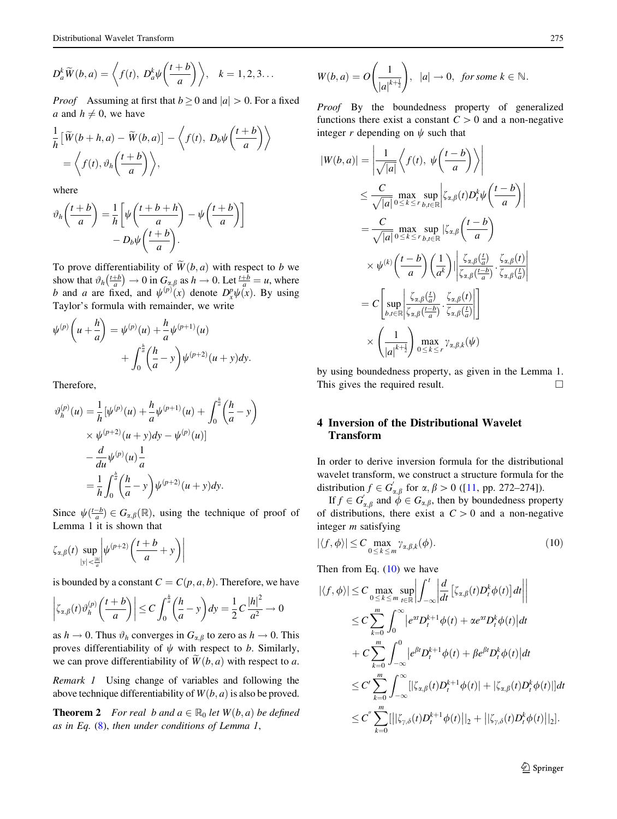$$
D_a^k \widetilde{W}(b, a) = \left\langle f(t), D_a^k \psi \left( \frac{t+b}{a} \right) \right\rangle, \quad k = 1, 2, 3 \dots
$$

*Proof* Assuming at first that  $b \ge 0$  and  $|a| > 0$ . For a fixed a and  $h \neq 0$ , we have

$$
\frac{1}{h} \left[ \widetilde{W}(b+h, a) - \widetilde{W}(b, a) \right] - \left\langle f(t), D_b \psi \left( \frac{t+b}{a} \right) \right\rangle
$$
  
=  $\left\langle f(t), \vartheta_h \left( \frac{t+b}{a} \right) \right\rangle$ ,

where

$$
\vartheta_h\left(\frac{t+b}{a}\right) = \frac{1}{h} \left[ \psi\left(\frac{t+b+h}{a}\right) - \psi\left(\frac{t+b}{a}\right) \right] - D_b \psi\left(\frac{t+b}{a}\right).
$$

To prove differentiability of  $\widetilde{W}(b, a)$  with respect to b we show that  $\vartheta_h \left( \frac{t+b}{a} \right) \to 0$  in  $G_{\alpha,\beta}$  as  $h \to 0$ . Let  $\frac{t+b}{a} = u$ , where b and a are fixed, and  $\psi^{(p)}(x)$  denote  $D_x^p\psi(x)$ . By using Taylor's formula with remainder, we write

$$
\psi^{(p)}\left(u+\frac{h}{a}\right) = \psi^{(p)}(u) + \frac{h}{a}\psi^{(p+1)}(u) + \int_0^{\frac{h}{a}} \left(\frac{h}{a} - y\right) \psi^{(p+2)}(u+y)dy.
$$

Therefore,

$$
\vartheta_h^{(p)}(u) = \frac{1}{h} [\psi^{(p)}(u) + \frac{h}{a} \psi^{(p+1)}(u) + \int_0^{\frac{h}{a}} \left(\frac{h}{a} - y\right) \times \psi^{(p+2)}(u + y) dy - \psi^{(p)}(u)] \n- \frac{d}{du} \psi^{(p)}(u) \frac{1}{a} \n= \frac{1}{h} \int_0^{\frac{h}{a}} \left(\frac{h}{a} - y\right) \psi^{(p+2)}(u + y) dy.
$$

Since  $\psi(\frac{t-b}{a}) \in G_{\alpha,\beta}(\mathbb{R})$ , using the technique of proof of Lemma 1 it is shown that

$$
\zeta_{\alpha,\beta}(t) \sup_{|y| < \frac{|h|}{a}} \left| \psi^{(p+2)} \left( \frac{t+b}{a} + y \right) \right|
$$

is bounded by a constant  $C = C(p, a, b)$ . Therefore, we have

$$
\left|\zeta_{\alpha,\beta}(t)\vartheta_h^{(p)}\left(\frac{t+b}{a}\right)\right|\leq C\int_0^{\frac{h}{a}}\left(\frac{h}{a}-y\right)dy=\frac{1}{2}C\frac{|h|^2}{a^2}\to 0
$$

as  $h \to 0$ . Thus  $\vartheta_h$  converges in  $G_{\alpha,\beta}$  to zero as  $h \to 0$ . This proves differentiability of  $\psi$  with respect to b. Similarly, we can prove differentiability of  $\widetilde{W}(b, a)$  with respect to a.

Remark 1 Using change of variables and following the above technique differentiability of  $W(b, a)$  is also be proved.

**Theorem 2** For real b and  $a \in \mathbb{R}_0$  let  $W(b, a)$  be defined as in Eq.  $(8)$  $(8)$ , then under conditions of Lemma 1,

$$
W(b,a) = O\left(\frac{1}{|a|^{k+\frac{1}{2}}}\right), \ |a| \to 0, \ \text{for some } k \in \mathbb{N}.
$$

Proof By the boundedness property of generalized functions there exist a constant  $C > 0$  and a non-negative integer r depending on  $\psi$  such that

$$
|W(b, a)| = \left| \frac{1}{\sqrt{|a|}} \left\langle f(t), \psi\left(\frac{t-b}{a}\right) \right\rangle \right|
$$
  
\n
$$
\leq \frac{C}{\sqrt{|a|}} \max_{0 \leq k \leq r} \sup_{b, t \in \mathbb{R}} \left| \zeta_{\alpha, \beta}(t) D_t^k \psi\left(\frac{t-b}{a}\right) \right|
$$
  
\n
$$
= \frac{C}{\sqrt{|a|}} \max_{0 \leq k \leq r} \sup_{b, t \in \mathbb{R}} |\zeta_{\alpha, \beta}\left(\frac{t-b}{a}\right) \left| \frac{\zeta_{\alpha, \beta}(\frac{t}{a})}{\zeta_{\alpha, \beta}(\frac{t-b}{a})} \cdot \frac{\zeta_{\alpha, \beta}(t)}{\zeta_{\alpha, \beta}(\frac{t-b}{a})} \right|
$$
  
\n
$$
= C \left[ \sup_{b, t \in \mathbb{R}} \left| \frac{\zeta_{\alpha, \beta}(\frac{t}{a})}{\zeta_{\alpha, \beta}(\frac{t-b}{a})} \cdot \frac{\zeta_{\alpha, \beta}(t)}{\zeta_{\alpha, \beta}(\frac{t}{a})} \right| \right]
$$
  
\n
$$
\times \left( \frac{1}{|a|^{k+\frac{1}{2}}} \right) \max_{0 \leq k \leq r} \gamma_{\alpha, \beta, k}(\psi)
$$

by using boundedness property, as given in the Lemma 1. This gives the required result.  $\Box$ 

## 4 Inversion of the Distributional Wavelet Transform

In order to derive inversion formula for the distributional wavelet transform, we construct a structure formula for the distribution  $f \in G'_{\alpha,\beta}$  for  $\alpha, \beta > 0$  ([\[11](#page-4-0), pp. 272–274]).

If  $f \in G'_{\alpha,\beta}$  and  $\phi \in G_{\alpha,\beta}$ , then by boundedness property of distributions, there exist a  $C > 0$  and a non-negative integer m satisfying

$$
|\langle f, \phi \rangle| \le C \max_{0 \le k \le m} \gamma_{\alpha, \beta, k}(\phi). \tag{10}
$$

Then from Eq.  $(10)$  we have

$$
|\langle f, \phi \rangle| \leq C \max_{0 \leq k \leq m} \sup_{t \in \mathbb{R}} \left| \int_{-\infty}^{t} \left| \frac{d}{dt} \left[ \zeta_{\alpha,\beta}(t) D_t^k \phi(t) \right] dt \right| \right|
$$
  
\n
$$
\leq C \sum_{k=0}^{m} \int_{0}^{\infty} \left| e^{\alpha t} D_t^{k+1} \phi(t) + \alpha e^{\alpha t} D_t^k \phi(t) \right| dt
$$
  
\n
$$
+ C \sum_{k=0}^{m} \int_{-\infty}^{0} \left| e^{\beta t} D_t^{k+1} \phi(t) + \beta e^{\beta t} D_t^k \phi(t) \right| dt
$$
  
\n
$$
\leq C' \sum_{k=0}^{m} \int_{-\infty}^{\infty} \left[ \left| \zeta_{\alpha,\beta}(t) D_t^{k+1} \phi(t) \right| + \left| \zeta_{\alpha,\beta}(t) D_t^k \phi(t) \right| \right] dt
$$
  
\n
$$
\leq C' \sum_{k=0}^{m} \left[ \left| \left| \zeta_{\gamma,\delta}(t) D_t^{k+1} \phi(t) \right| \right|_2 + \left| \left| \zeta_{\gamma,\delta}(t) D_t^k \phi(t) \right| \right|_2 \right].
$$

<sup>2</sup> Springer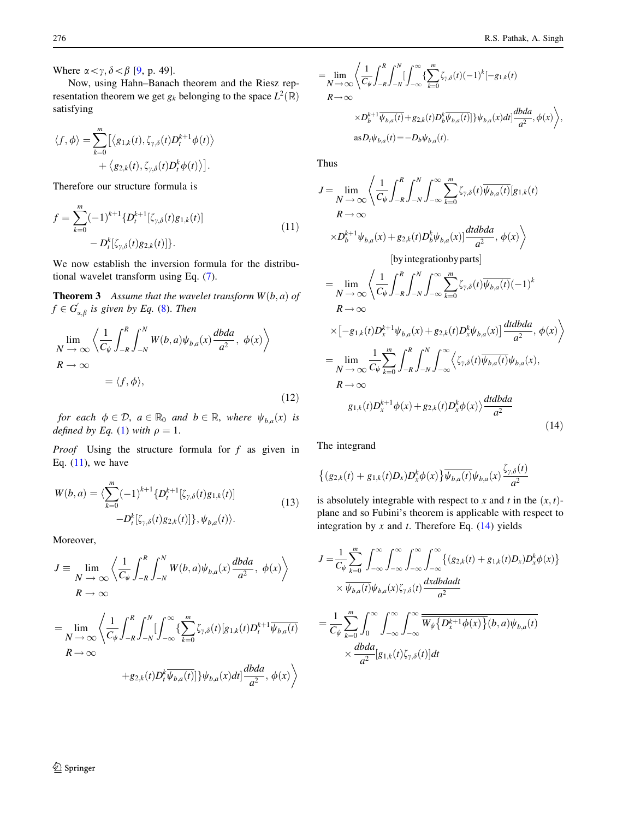Where  $\alpha < \gamma, \delta < \beta$  [[9,](#page-4-0) p. 49].

Now, using Hahn–Banach theorem and the Riesz representation theorem we get  $g_k$  belonging to the space  $L^2(\mathbb{R})$ satisfying

$$
\langle f, \phi \rangle = \sum_{k=0}^{m} \left[ \langle g_{1,k}(t), \zeta_{\gamma,\delta}(t) D_t^{k+1} \phi(t) \rangle + \langle g_{2,k}(t), \zeta_{\gamma,\delta}(t) D_t^{k} \phi(t) \rangle \right].
$$

Therefore our structure formula is

$$
f = \sum_{k=0}^{m} (-1)^{k+1} \{D_t^{k+1}[\zeta_{\gamma,\delta}(t)g_{1,k}(t)] - D_t^k[\zeta_{\gamma,\delta}(t)g_{2,k}(t)]\}.
$$
\n(11)

We now establish the inversion formula for the distributional wavelet transform using Eq. [\(7](#page-0-0)).

**Theorem 3** Assume that the wavelet transform  $W(b, a)$  of  $f \in G_{\alpha,\beta}'$  is given by Eq. ([8\)](#page-1-0). Then

$$
\lim_{N \to \infty} \left\langle \frac{1}{C_{\psi}} \int_{-R}^{R} \int_{-N}^{N} W(b, a) \psi_{b, a}(x) \frac{dbda}{a^2}, \phi(x) \right\rangle
$$
  

$$
R \to \infty
$$
  

$$
= \langle f, \phi \rangle,
$$
 (12)

for each  $\phi \in \mathcal{D}$ ,  $a \in \mathbb{R}_0$  and  $b \in \mathbb{R}$ , where  $\psi_{b,a}(x)$  is defined by Eq. [\(1](#page-0-0)) with  $\rho = 1$ .

*Proof* Using the structure formula for  $f$  as given in Eq.  $(11)$ , we have

$$
W(b,a) = \langle \sum_{k=0}^{m} (-1)^{k+1} \{ D_t^{k+1} [\zeta_{\gamma,\delta}(t) g_{1,k}(t)] - D_t^k [\zeta_{\gamma,\delta}(t) g_{2,k}(t)] \}, \psi_{b,a}(t) \rangle.
$$
 (13)

Moreover,

$$
J \equiv \lim_{N \to \infty} \left\langle \frac{1}{C_{\psi}} \int_{-R}^{R} \int_{-N}^{N} W(b, a) \psi_{b, a}(x) \frac{dbda}{a^2}, \phi(x) \right\rangle
$$
  
\n
$$
R \to \infty
$$
  
\n
$$
= \lim_{N \to \infty} \left\langle \frac{1}{C_{\psi}} \int_{-R}^{R} \int_{-N}^{N} \left[ \int_{-\infty}^{\infty} \left\{ \sum_{k=0}^{m} \zeta_{\gamma, \delta}(t) [g_{1,k}(t) D_{t}^{k+1} \overline{\psi}_{b,a}(t) \right. \right.
$$
  
\n
$$
R \to \infty
$$
  
\n
$$
+ g_{2,k}(t) D_{t}^{k} \overline{\psi}_{b,a}(t) ] \} \psi_{b,a}(x) dt] \frac{dbda}{a^2}, \phi(x) \right\rangle
$$

$$
= \lim_{N \to \infty} \left\langle \frac{1}{C_{\psi}} \int_{-R}^{R} \int_{-N}^{N} \left[ \int_{-\infty}^{\infty} \left\{ \sum_{k=0}^{m} \zeta_{\gamma,\delta}(t) (-1)^{k} \left[ -g_{1,k}(t) \right. \right. \right. \right. \\ \left. \left. \left. \mathcal{B} \right\} \right\rangle_{-\infty} \times D_{b}^{k+1} \overline{\psi_{b,a}(t)} + g_{2,k}(t) D_{b}^{k} \overline{\psi_{b,a}(t)} \left[ \psi_{b,a}(x) dt \right] \frac{dbda}{a^{2}}, \phi(x) \right\rangle,
$$
\n
$$
a s D_{t} \psi_{b,a}(t) = -D_{b} \psi_{b,a}(t).
$$

Thus

$$
J = \lim_{N \to \infty} \left\langle \frac{1}{C_{\psi}} \int_{-R}^{R} \int_{-N}^{N} \int_{-\infty}^{\infty} \sum_{k=0}^{m} \zeta_{\gamma,\delta}(t) \overline{\psi_{b,a}(t)} [g_{1,k}(t)] \right. \\
R \to \infty \\
\times D_{b}^{k+1} \psi_{b,a}(x) + g_{2,k}(t) D_{b}^{k} \psi_{b,a}(x)] \frac{dt db da}{a^{2}}, \phi(x) \left\rangle
$$
\n[by integration by parts]\n
$$
= \lim_{N \to \infty} \left\langle \frac{1}{C_{\psi}} \int_{-R}^{R} \int_{-N}^{N} \int_{-\infty}^{\infty} \sum_{k=0}^{m} \zeta_{\gamma,\delta}(t) \overline{\psi_{b,a}(t)} (-1)^{k} \right. \\
R \to \infty \\
\times [-g_{1,k}(t) D_{x}^{k+1} \psi_{b,a}(x) + g_{2,k}(t) D_{x}^{k} \psi_{b,a}(x)] \frac{dt db da}{a^{2}}, \phi(x) \left\rangle
$$
\n
$$
= \lim_{N \to \infty} \frac{1}{C_{\psi}} \sum_{k=0}^{m} \int_{-R}^{R} \int_{-N}^{N} \int_{-\infty}^{\infty} \left\langle \zeta_{\gamma,\delta}(t) \overline{\psi_{b,a}(t)} \psi_{b,a}(x), \right. \\
R \to \infty
$$
\n
$$
g_{1,k}(t) D_{x}^{k+1} \phi(x) + g_{2,k}(t) D_{x}^{k} \phi(x) \left\rangle \frac{dt db da}{a^{2}} \tag{14}
$$

The integrand

$$
\left\{ (g_{2,k}(t) + g_{1,k}(t)D_x)D_x^k \phi(x) \right\} \overline{\psi_{b,a}(t)} \psi_{b,a}(x) \frac{\zeta_{\gamma,\delta}(t)}{a^2}
$$

is absolutely integrable with respect to x and t in the  $(x, t)$ plane and so Fubini's theorem is applicable with respect to integration by x and t. Therefore Eq.  $(14)$  yields

$$
J = \frac{1}{C_{\psi}} \sum_{k=0}^{m} \int_{-\infty}^{\infty} \int_{-\infty}^{\infty} \int_{-\infty}^{\infty} \int_{-\infty}^{\infty} \left\{ (g_{2,k}(t) + g_{1,k}(t)D_x) D_x^k \phi(x) \right\}
$$
  
 
$$
\times \overline{\psi_{b,a}(t)} \psi_{b,a}(x) \zeta_{\gamma,\delta}(t) \frac{dxdbdadt}{a^2}
$$
  

$$
= \frac{1}{C_{\psi}} \sum_{k=0}^{m} \int_{0}^{\infty} \int_{-\infty}^{\infty} \int_{-\infty}^{\infty} \overline{W_{\psi} \{D_x^{k+1} \phi(x)\}(b, a) \psi_{b,a}(t)}
$$
  

$$
\times \frac{dbda}{a^2} [g_{1,k}(t) \zeta_{\gamma,\delta}(t)] dt
$$